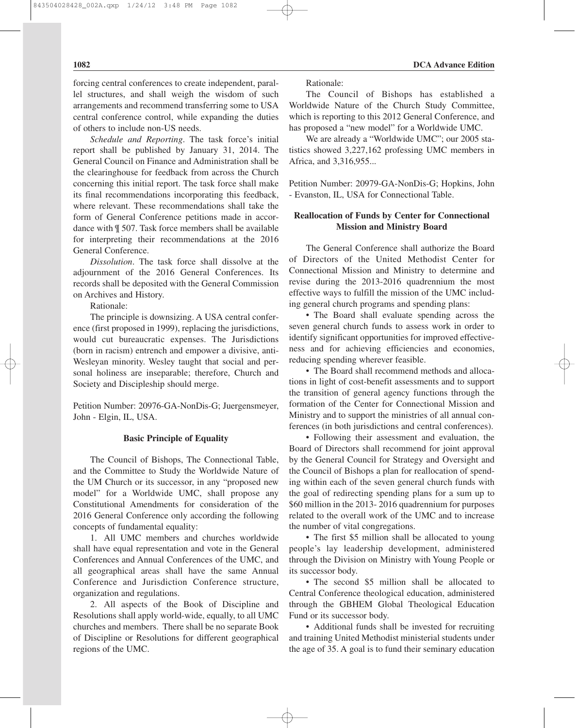forcing central conferences to create independent, parallel structures, and shall weigh the wisdom of such arrangements and recommend transferring some to USA central conference control, while expanding the duties of others to include non-US needs.

*Schedule and Reporting*. The task force's initial report shall be published by January 31, 2014. The General Council on Finance and Administration shall be the clearinghouse for feedback from across the Church concerning this initial report. The task force shall make its final recommendations incorporating this feedback, where relevant. These recommendations shall take the form of General Conference petitions made in accordance with ¶ 507. Task force members shall be available for interpreting their recommendations at the 2016 General Conference.

*Dissolution*. The task force shall dissolve at the adjournment of the 2016 General Conferences. Its records shall be deposited with the General Commission on Archives and History.

Rationale:

The principle is downsizing. A USA central conference (first proposed in 1999), replacing the jurisdictions, would cut bureaucratic expenses. The Jurisdictions (born in racism) entrench and empower a divisive, anti-Wesleyan minority. Wesley taught that social and personal holiness are inseparable; therefore, Church and Society and Discipleship should merge.

Petition Number: 20976-GA-NonDis-G; Juergensmeyer, John - Elgin, IL, USA.

## **Basic Principle of Equality**

The Council of Bishops, The Connectional Table, and the Committee to Study the Worldwide Nature of the UM Church or its successor, in any "proposed new model" for a Worldwide UMC, shall propose any Constitutional Amendments for consideration of the 2016 General Conference only according the following concepts of fundamental equality:

1. All UMC members and churches worldwide shall have equal representation and vote in the General Conferences and Annual Conferences of the UMC, and all geographical areas shall have the same Annual Conference and Jurisdiction Conference structure, organization and regulations.

2. All aspects of the Book of Discipline and Resolutions shall apply world-wide, equally, to all UMC churches and members. There shall be no separate Book of Discipline or Resolutions for different geographical regions of the UMC.

Rationale:

The Council of Bishops has established a Worldwide Nature of the Church Study Committee, which is reporting to this 2012 General Conference, and has proposed a "new model" for a Worldwide UMC.

We are already a "Worldwide UMC"; our 2005 statistics showed 3,227,162 professing UMC members in Africa, and 3,316,955...

Petition Number: 20979-GA-NonDis-G; Hopkins, John - Evanston, IL, USA for Connectional Table.

## **Reallocation of Funds by Center for Connectional Mission and Ministry Board**

The General Conference shall authorize the Board of Directors of the United Methodist Center for Connectional Mission and Ministry to determine and revise during the 2013-2016 quadrennium the most effective ways to fulfill the mission of the UMC including general church programs and spending plans:

• The Board shall evaluate spending across the seven general church funds to assess work in order to identify significant opportunities for improved effectiveness and for achieving efficiencies and economies, reducing spending wherever feasible.

• The Board shall recommend methods and allocations in light of cost-benefit assessments and to support the transition of general agency functions through the formation of the Center for Connectional Mission and Ministry and to support the ministries of all annual conferences (in both jurisdictions and central conferences).

• Following their assessment and evaluation, the Board of Directors shall recommend for joint approval by the General Council for Strategy and Oversight and the Council of Bishops a plan for reallocation of spending within each of the seven general church funds with the goal of redirecting spending plans for a sum up to \$60 million in the 2013- 2016 quadrennium for purposes related to the overall work of the UMC and to increase the number of vital congregations.

• The first \$5 million shall be allocated to young people's lay leadership development, administered through the Division on Ministry with Young People or its successor body.

• The second \$5 million shall be allocated to Central Conference theological education, administered through the GBHEM Global Theological Education Fund or its successor body.

• Additional funds shall be invested for recruiting and training United Methodist ministerial students under the age of 35. A goal is to fund their seminary education